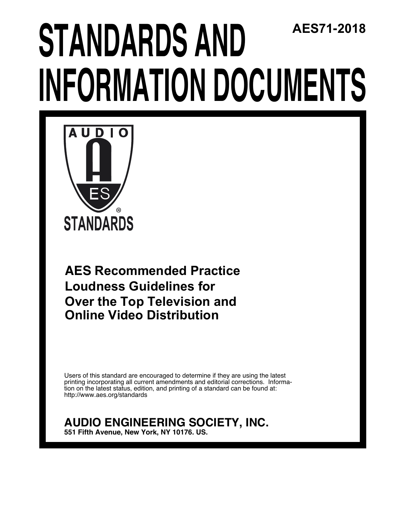# AES71-2018 **STANDARDS AND INFORMATION DOCUMENTS**



**AES Recommended Practice Loudness Guidelines for** Over the Top Television and **Online Video Distribution** 

Users of this standard are encouraged to determine if they are using the latest printing incorporating all current amendments and editorial corrections. Information on the latest status, edition, and printing of a standard can be found at: http://www.aes.org/standards

## **AUDIO ENGINEERING SOCIETY, INC.**

551 Fifth Avenue, New York, NY 10176. US.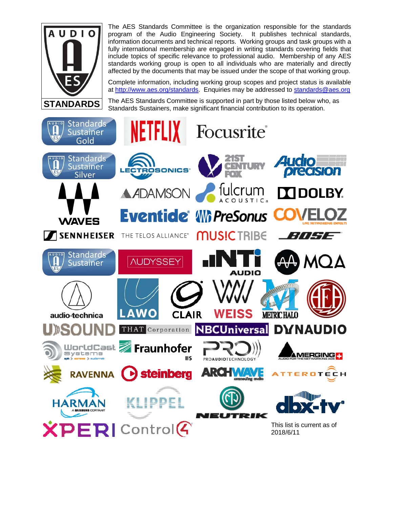

The AES Standards Committee is the organization responsible for the standards program of the Audio Engineering Society. It publishes technical standards, information documents and technical reports. Working groups and task groups with a fully international membership are engaged in writing standards covering fields that include topics of specific relevance to professional audio. Membership of any AES standards working group is open to all individuals who are materially and directly affected by the documents that may be issued under the scope of that working group.

Complete information, including working group scopes and project status is available at http://www.aes.org/standards. Enquiries may be addressed to standards@aes.org

The AES Standards Committee is supported in part by those listed below who, as Standards Sustainers, make significant financial contribution to its operation.

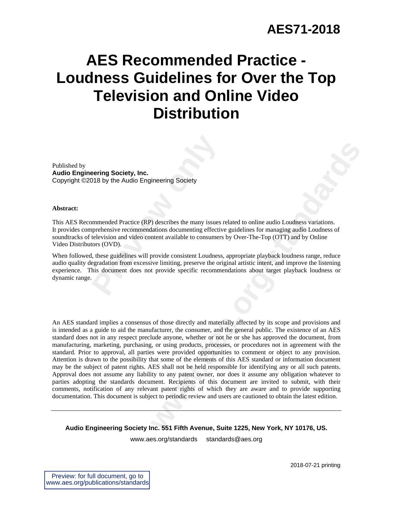## **AES Recommended Practice - Loudness Guidelines for Over the Top Television and Online Video Distribution**

Published by **Audio Engineering Society, Inc.**  Copyright ©2018 by the Audio Engineering Society

#### **Abstract:**

**Properting Society, Inc.**<br>
2018 by the Audio Engineering Society<br>
118 by the Audio Engineering Society<br>
prehensive recommendations documenting effective<br>
television and video content available to consumers<br>
tors (OVD).<br>
L This AES Recommended Practice (RP) describes the many issues related to online audio Loudness variations. It provides comprehensive recommendations documenting effective guidelines for managing audio Loudness of soundtracks of television and video content available to consumers by Over-The-Top (OTT) and by Online Video Distributors (OVD).

When followed, these guidelines will provide consistent Loudness, appropriate playback loudness range, reduce audio quality degradation from excessive limiting, preserve the original artistic intent, and improve the listening experience. This document does not provide specific recommendations about target playback loudness or dynamic range.

**where the standard Society**<br> **w** describes the many issues related to online audio Loudness variations.<br> **Existence is also convening effective guidelines for managing audio Loudness of<br>
net available to consumers by Over** An AES standard implies a consensus of those directly and materially affected by its scope and provisions and is intended as a guide to aid the manufacturer, the consumer, and the general public. The existence of an AES standard does not in any respect preclude anyone, whether or not he or she has approved the document, from manufacturing, marketing, purchasing, or using products, processes, or procedures not in agreement with the standard. Prior to approval, all parties were provided opportunities to comment or object to any provision. Attention is drawn to the possibility that some of the elements of this AES standard or information document may be the subject of patent rights. AES shall not be held responsible for identifying any or all such patents. Approval does not assume any liability to any patent owner, nor does it assume any obligation whatever to parties adopting the standards document. Recipients of this document are invited to submit, with their comments, notification of any relevant patent rights of which they are aware and to provide supporting documentation. This document is subject to periodic review and users are cautioned to obtain the latest edition.

**Audio Engineering Society Inc. 551 Fifth Avenue, Suite 1225, New York, NY 10176, US.** 

www.aes.org/standards standards@aes.org

2018-07-21 printing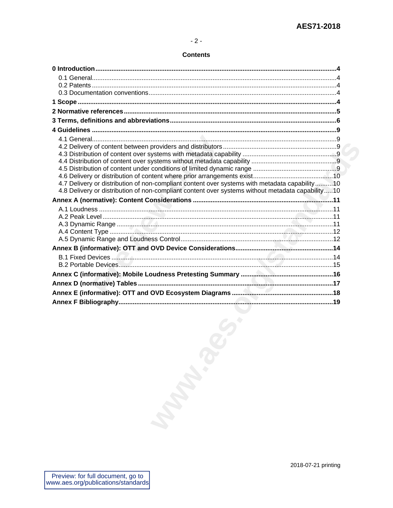#### **Contents**

| 4.7 Delivery or distribution of non-compliant content over systems with metadata capability10    |  |
|--------------------------------------------------------------------------------------------------|--|
| 4.8 Delivery or distribution of non-compliant content over systems without metadata capability10 |  |
|                                                                                                  |  |
|                                                                                                  |  |
|                                                                                                  |  |
|                                                                                                  |  |
|                                                                                                  |  |
|                                                                                                  |  |
|                                                                                                  |  |
|                                                                                                  |  |
|                                                                                                  |  |
|                                                                                                  |  |
|                                                                                                  |  |
|                                                                                                  |  |
|                                                                                                  |  |
|                                                                                                  |  |
|                                                                                                  |  |
|                                                                                                  |  |
|                                                                                                  |  |
|                                                                                                  |  |
|                                                                                                  |  |
|                                                                                                  |  |
|                                                                                                  |  |
|                                                                                                  |  |
|                                                                                                  |  |
|                                                                                                  |  |
|                                                                                                  |  |
|                                                                                                  |  |
|                                                                                                  |  |
| <b>Manufall</b>                                                                                  |  |
|                                                                                                  |  |
|                                                                                                  |  |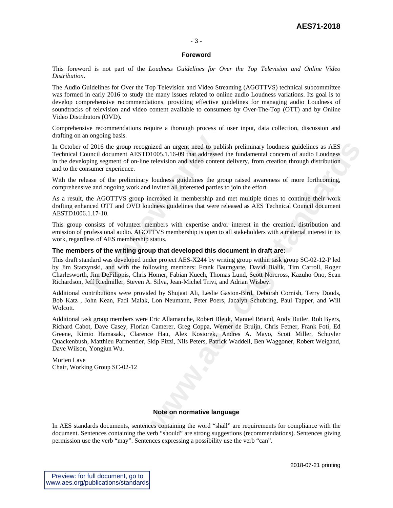#### - 3 -

#### **Foreword**

This foreword is not part of the *Loudness Guidelines for Over the Top Television and Online Video Distribution*.

The Audio Guidelines for Over the Top Television and Video Streaming (AGOTTVS) technical subcommittee was formed in early 2016 to study the many issues related to online audio Loudness variations. Its goal is to develop comprehensive recommendations, providing effective guidelines for managing audio Loudness of soundtracks of television and video content available to consumers by Over-The-Top (OTT) and by Online Video Distributors (OVD).

Comprehensive recommendations require a thorough process of user input, data collection, discussion and drafting on an ongoing basis.

In October of 2016 the group recognized an urgent need to publish preliminary loudness guidelines as AES Technical Council document AESTD1005.1.16-09 that addressed the fundamental concern of audio Loudness in the developing segment of on-line television and video content delivery, from creation through distribution and to the consumer experience.

With the release of the preliminary loudness guidelines the group raised awareness of more forthcoming, comprehensive and ongoing work and invited all interested parties to join the effort.

As a result, the AGOTTVS group increased in membership and met multiple times to continue their work drafting enhanced OTT and OVD loudness guidelines that were released as AES Technical Council document AESTD1006.1.17-10.

This group consists of volunteer members with expertise and/or interest in the creation, distribution and emission of professional audio. AGOTTVS membership is open to all stakeholders with a material interest in its work, regardless of AES membership status.

#### **The members of the writing group that developed this document in draft are:**

2016 the group recognized an urgent need to pub<br>
2016 the group recognized an urgent need to pub<br>
ncil document AESTD1005.1.16-09 that addressed<br>
ng segment of on-line television and video conten<br>
umer experience.<br>
se of t This draft standard was developed under project AES-X244 by writing group within task group SC-02-12-P led by Jim Starzynski, and with the following members: Frank Baumgarte, David Bialik, Tim Carroll, Roger Charlesworth, Jim DeFilippis, Chris Homer, Fabian Kuech, Thomas Lund, Scott Norcross, Kazuho Ono, Sean Richardson, Jeff Riedmiller, Steven A. Silva, Jean-Michel Trivi, and Adrian Wisbey.

Additional contributions were provided by Shujaat Ali, Leslie Gaston-Bird, Deborah Cornish, Terry Douds, Bob Katz , John Kean, Fadi Malak, Lon Neumann, Peter Poers, Jacalyn Schubring, Paul Tapper, and Will Wolcott.

ized an urgent need to publish preliminary loudness guidelines as AES<br>1005.1.1.6-09 that adetresed the fundamental concern of audio Loudness<br>television and video content delivery, from creation through distribution<br>loudnes Additional task group members were Eric Allamanche, Robert Bleidt, Manuel Briand, Andy Butler, Rob Byers, Richard Cabot, Dave Casey, Florian Camerer, Greg Coppa, Werner de Bruijn, Chris Fetner, Frank Foti, Ed Greene, Kimio Hamasaki, Clarence Hau, Alex Kosiorek, Andres A. Mayo, Scott Miller, Schuyler Quackenbush, Matthieu Parmentier, Skip Pizzi, Nils Peters, Patrick Waddell, Ben Waggoner, Robert Weigand, Dave Wilson, Yongjun Wu.

Morten Lave Chair, Working Group SC-02-12

#### **Note on normative language**

In AES standards documents, sentences containing the word "shall" are requirements for compliance with the document. Sentences containing the verb "should" are strong suggestions (recommendations). Sentences giving permission use the verb "may". Sentences expressing a possibility use the verb "can".